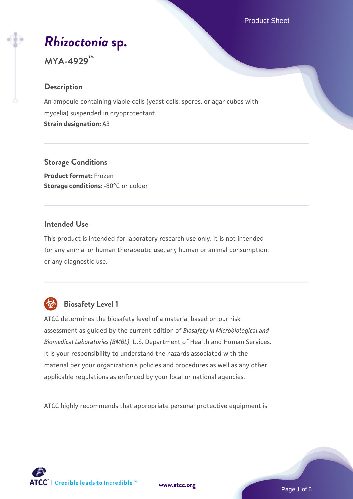Product Sheet

# *[Rhizoctonia](https://www.atcc.org/products/mya-4929)* **[sp.](https://www.atcc.org/products/mya-4929)**

# **MYA-4929™**

# **Description**

An ampoule containing viable cells (yeast cells, spores, or agar cubes with mycelia) suspended in cryoprotectant. **Strain designation:** A3

**Storage Conditions**

**Product format:** Frozen **Storage conditions: -80°C or colder** 

# **Intended Use**

This product is intended for laboratory research use only. It is not intended for any animal or human therapeutic use, any human or animal consumption, or any diagnostic use.



# **Biosafety Level 1**

ATCC determines the biosafety level of a material based on our risk assessment as guided by the current edition of *Biosafety in Microbiological and Biomedical Laboratories (BMBL)*, U.S. Department of Health and Human Services. It is your responsibility to understand the hazards associated with the material per your organization's policies and procedures as well as any other applicable regulations as enforced by your local or national agencies.

ATCC highly recommends that appropriate personal protective equipment is

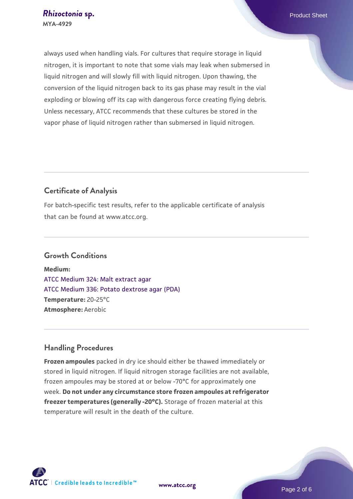always used when handling vials. For cultures that require storage in liquid nitrogen, it is important to note that some vials may leak when submersed in liquid nitrogen and will slowly fill with liquid nitrogen. Upon thawing, the conversion of the liquid nitrogen back to its gas phase may result in the vial exploding or blowing off its cap with dangerous force creating flying debris. Unless necessary, ATCC recommends that these cultures be stored in the vapor phase of liquid nitrogen rather than submersed in liquid nitrogen.

# **Certificate of Analysis**

For batch-specific test results, refer to the applicable certificate of analysis that can be found at www.atcc.org.

## **Growth Conditions**

**Medium:**  [ATCC Medium 324: Malt extract agar](https://www.atcc.org/-/media/product-assets/documents/microbial-media-formulations/3/2/4/atcc-medium-324.pdf?rev=5a8b3f6dcb23452d9462ec38b36f0bb6) [ATCC Medium 336: Potato dextrose agar \(PDA\)](https://www.atcc.org/-/media/product-assets/documents/microbial-media-formulations/3/3/6/atcc-medium-336.pdf?rev=d9160ad44d934cd8b65175461abbf3b9) **Temperature:** 20-25°C **Atmosphere:** Aerobic

# **Handling Procedures**

**Frozen ampoules** packed in dry ice should either be thawed immediately or stored in liquid nitrogen. If liquid nitrogen storage facilities are not available, frozen ampoules may be stored at or below -70°C for approximately one week. **Do not under any circumstance store frozen ampoules at refrigerator freezer temperatures (generally -20°C).** Storage of frozen material at this temperature will result in the death of the culture.

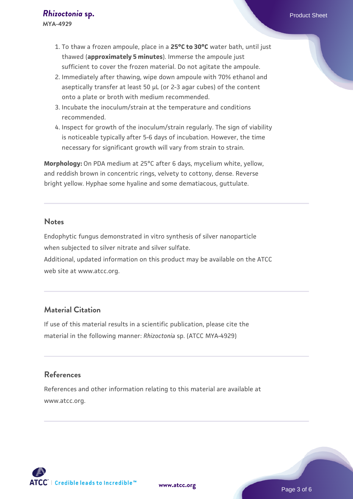- 1. To thaw a frozen ampoule, place in a **25°C to 30°C** water bath, until just thawed (**approximately 5 minutes**). Immerse the ampoule just sufficient to cover the frozen material. Do not agitate the ampoule.
- 2. Immediately after thawing, wipe down ampoule with 70% ethanol and aseptically transfer at least 50 µL (or 2-3 agar cubes) of the content onto a plate or broth with medium recommended.
- 3. Incubate the inoculum/strain at the temperature and conditions recommended.
- 4. Inspect for growth of the inoculum/strain regularly. The sign of viability is noticeable typically after 5-6 days of incubation. However, the time necessary for significant growth will vary from strain to strain.

**Morphology:** On PDA medium at 25°C after 6 days, mycelium white, yellow, and reddish brown in concentric rings, velvety to cottony, dense. Reverse bright yellow. Hyphae some hyaline and some dematiacous, guttulate.

#### **Notes**

Endophytic fungus demonstrated in vitro synthesis of silver nanoparticle when subjected to silver nitrate and silver sulfate. Additional, updated information on this product may be available on the ATCC web site at www.atcc.org.

# **Material Citation**

If use of this material results in a scientific publication, please cite the material in the following manner: *Rhizoctonia* sp. (ATCC MYA-4929)

# **References**

References and other information relating to this material are available at www.atcc.org.

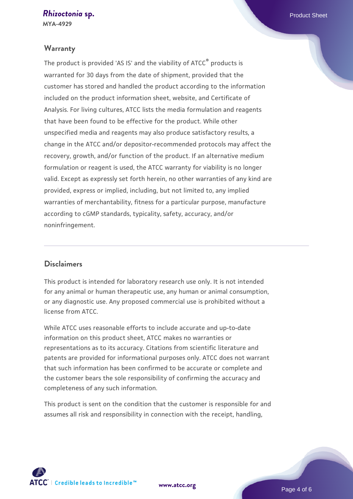**MYA-4929**

# **Warranty**

The product is provided 'AS IS' and the viability of ATCC® products is warranted for 30 days from the date of shipment, provided that the customer has stored and handled the product according to the information included on the product information sheet, website, and Certificate of Analysis. For living cultures, ATCC lists the media formulation and reagents that have been found to be effective for the product. While other unspecified media and reagents may also produce satisfactory results, a change in the ATCC and/or depositor-recommended protocols may affect the recovery, growth, and/or function of the product. If an alternative medium formulation or reagent is used, the ATCC warranty for viability is no longer valid. Except as expressly set forth herein, no other warranties of any kind are provided, express or implied, including, but not limited to, any implied warranties of merchantability, fitness for a particular purpose, manufacture according to cGMP standards, typicality, safety, accuracy, and/or noninfringement.

## **Disclaimers**

This product is intended for laboratory research use only. It is not intended for any animal or human therapeutic use, any human or animal consumption, or any diagnostic use. Any proposed commercial use is prohibited without a license from ATCC.

While ATCC uses reasonable efforts to include accurate and up-to-date information on this product sheet, ATCC makes no warranties or representations as to its accuracy. Citations from scientific literature and patents are provided for informational purposes only. ATCC does not warrant that such information has been confirmed to be accurate or complete and the customer bears the sole responsibility of confirming the accuracy and completeness of any such information.

This product is sent on the condition that the customer is responsible for and assumes all risk and responsibility in connection with the receipt, handling,



**[www.atcc.org](http://www.atcc.org)**

Page 4 of 6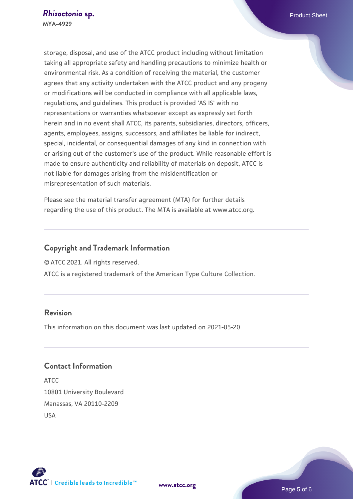storage, disposal, and use of the ATCC product including without limitation taking all appropriate safety and handling precautions to minimize health or environmental risk. As a condition of receiving the material, the customer agrees that any activity undertaken with the ATCC product and any progeny or modifications will be conducted in compliance with all applicable laws, regulations, and guidelines. This product is provided 'AS IS' with no representations or warranties whatsoever except as expressly set forth herein and in no event shall ATCC, its parents, subsidiaries, directors, officers, agents, employees, assigns, successors, and affiliates be liable for indirect, special, incidental, or consequential damages of any kind in connection with or arising out of the customer's use of the product. While reasonable effort is made to ensure authenticity and reliability of materials on deposit, ATCC is not liable for damages arising from the misidentification or misrepresentation of such materials.

Please see the material transfer agreement (MTA) for further details regarding the use of this product. The MTA is available at www.atcc.org.

# **Copyright and Trademark Information**

© ATCC 2021. All rights reserved.

ATCC is a registered trademark of the American Type Culture Collection.

# **Revision**

This information on this document was last updated on 2021-05-20

# **Contact Information**

ATCC 10801 University Boulevard Manassas, VA 20110-2209 USA